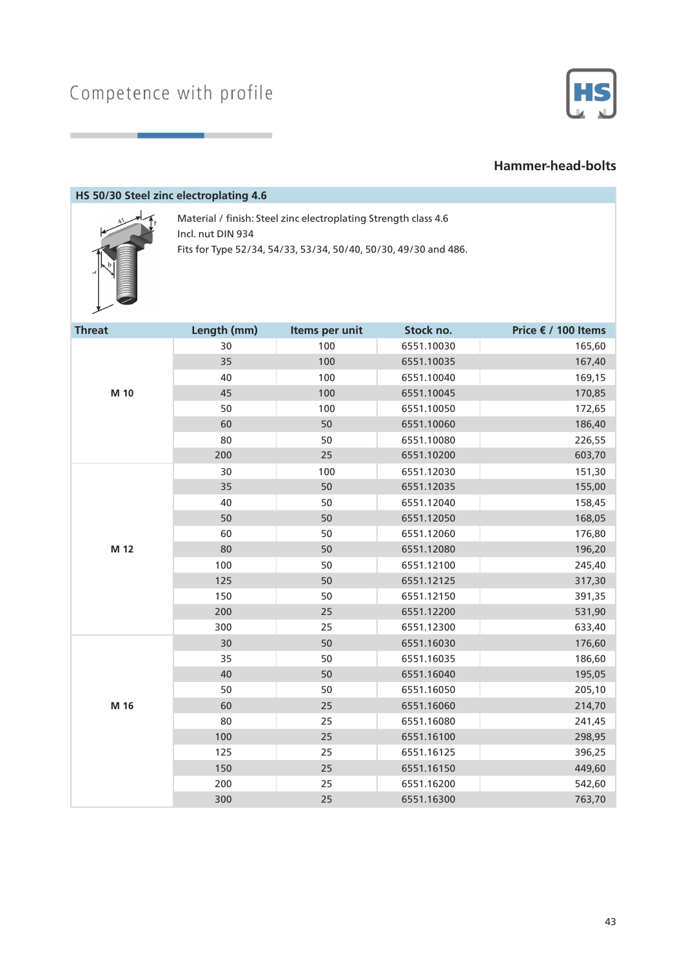

#### **Hammer-head-bolts**

#### **HS 50/30 Steel zinc electroplating 4.6**



Material / finish: Steel zinc electroplating Strength class 4.6 Incl. nut DIN 934 Fits for Type 52/34, 54/33, 53/34, 50/40, 50/30, 49/30 and 486.

| <b>Threat</b> | Length (mm) | Items per unit | Stock no.  | Price € / 100 Items |
|---------------|-------------|----------------|------------|---------------------|
| M 10          | 30          | 100            | 6551.10030 | 165,60              |
|               | 35          | 100            | 6551.10035 | 167,40              |
|               | 40          | 100            | 6551.10040 | 169,15              |
|               | 45          | 100            | 6551.10045 | 170,85              |
|               | 50          | 100            | 6551.10050 | 172,65              |
|               | 60          | 50             | 6551.10060 | 186,40              |
|               | 80          | 50             | 6551.10080 | 226,55              |
|               | 200         | 25             | 6551.10200 | 603,70              |
|               | 30          | 100            | 6551.12030 | 151,30              |
|               | 35          | 50             | 6551.12035 | 155,00              |
|               | 40          | 50             | 6551.12040 | 158,45              |
| M 12          | 50          | 50             | 6551.12050 | 168,05              |
|               | 60          | 50             | 6551.12060 | 176,80              |
|               | 80          | 50             | 6551.12080 | 196,20              |
|               | 100         | 50             | 6551.12100 | 245,40              |
|               | 125         | 50             | 6551.12125 | 317,30              |
|               | 150         | 50             | 6551.12150 | 391,35              |
|               | 200         | 25             | 6551.12200 | 531,90              |
|               | 300         | 25             | 6551.12300 | 633,40              |
|               | 30          | 50             | 6551.16030 | 176,60              |
|               | 35          | 50             | 6551.16035 | 186,60              |
| M 16          | 40          | 50             | 6551.16040 | 195,05              |
|               | 50          | 50             | 6551.16050 | 205,10              |
|               | 60          | 25             | 6551.16060 | 214,70              |
|               | 80          | 25             | 6551.16080 | 241,45              |
|               | 100         | 25             | 6551.16100 | 298,95              |
|               | 125         | 25             | 6551.16125 | 396,25              |
|               | 150         | 25             | 6551.16150 | 449,60              |
|               | 200         | 25             | 6551.16200 | 542,60              |
|               | 300         | 25             | 6551.16300 | 763,70              |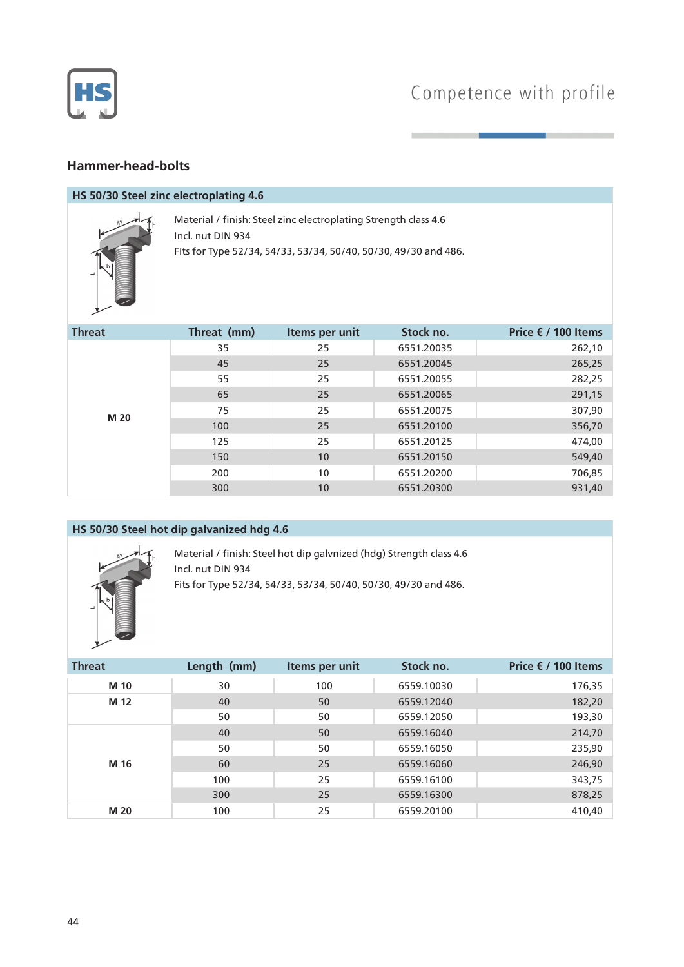

## Competence with profile

### **Hammer-head-bolts**

#### **HS 50/30 Steel zinc electroplating 4.6**



Material / finish: Steel zinc electroplating Strength class 4.6 Incl. nut DIN 934 Fits for Type 52/34, 54/33, 53/34, 50/40, 50/30, 49/30 and 486.

| <b>Threat</b> | Threat (mm) | Items per unit | Stock no.  | Price € / 100 Items |
|---------------|-------------|----------------|------------|---------------------|
| M 20          | 35          | 25             | 6551.20035 | 262,10              |
|               | 45          | 25             | 6551.20045 | 265,25              |
|               | 55          | 25             | 6551.20055 | 282,25              |
|               | 65          | 25             | 6551.20065 | 291,15              |
|               | 75          | 25             | 6551.20075 | 307,90              |
|               | 100         | 25             | 6551.20100 | 356,70              |
|               | 125         | 25             | 6551.20125 | 474,00              |
|               | 150         | 10             | 6551.20150 | 549,40              |
|               | 200         | 10             | 6551.20200 | 706,85              |
|               | 300         | 10             | 6551.20300 | 931,40              |

#### **HS 50/30 Steel hot dip galvanized hdg 4.6**



Material / finish: Steel hot dip galvnized (hdg) Strength class 4.6 Incl. nut DIN 934 Fits for Type 52/34, 54/33, 53/34, 50/40, 50/30, 49/30 and 486.

| <b>Threat</b> | Length (mm) | Items per unit | Stock no.  | Price $€$ / 100 Items |
|---------------|-------------|----------------|------------|-----------------------|
| M 10          | 30          | 100            | 6559.10030 | 176,35                |
| M 12          | 40          | 50             | 6559.12040 | 182,20                |
|               | 50          | 50             | 6559.12050 | 193,30                |
| M 16          | 40          | 50             | 6559.16040 | 214,70                |
|               | 50          | 50             | 6559.16050 | 235,90                |
|               | 60          | 25             | 6559.16060 | 246,90                |
|               | 100         | 25             | 6559.16100 | 343,75                |
|               | 300         | 25             | 6559.16300 | 878,25                |
| M 20          | 100         | 25             | 6559.20100 | 410,40                |